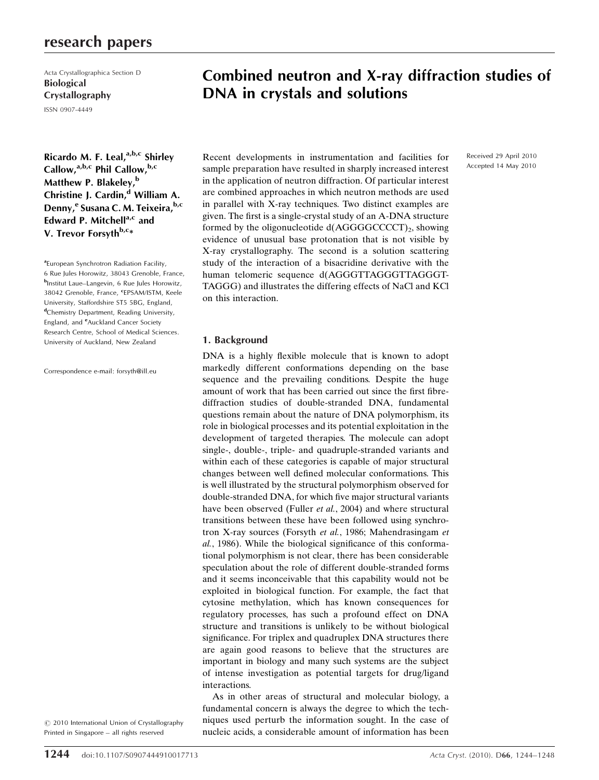## research papers

Acta Crystallographica Section D Biological Crystallography ISSN 0907-4449

Ricardo M. F. Leal, $a,b,c$  Shirley Callow,<sup>a,b,c</sup> Phil Callow,<sup>b,c</sup> Matthew P. Blakeley,<sup>b</sup> Christine J. Cardin,<sup>d</sup> William A. Denny,<sup>e</sup> Susana C. M. Teixeira, b,c Edward P. Mitchell<sup>a,c</sup> and V. Trevor Forsyth<sup>b,c\*</sup>

<sup>a</sup> European Synchrotron Radiation Facility, 6 Rue Jules Horowitz, 38043 Grenoble, France, b Institut Laue–Langevin, 6 Rue Jules Horowitz, 38042 Grenoble, France, <sup>c</sup>EPSAM/ISTM, Keele University, Staffordshire ST5 5BG, England, dChemistry Department, Reading University, England, and <sup>e</sup>Auckland Cancer Society Research Centre, School of Medical Sciences. University of Auckland, New Zealand

Correspondence e-mail: forsyth@ill.eu

 $\odot$  2010 International Union of Crystallography Printed in Singapore – all rights reserved

# Combined neutron and X-ray diffraction studies of DNA in crystals and solutions

Recent developments in instrumentation and facilities for sample preparation have resulted in sharply increased interest in the application of neutron diffraction. Of particular interest are combined approaches in which neutron methods are used in parallel with X-ray techniques. Two distinct examples are given. The first is a single-crystal study of an A-DNA structure formed by the oligonucleotide  $d(AGGGGCCCT)_2$ , showing evidence of unusual base protonation that is not visible by X-ray crystallography. The second is a solution scattering study of the interaction of a bisacridine derivative with the human telomeric sequence d(AGGGTTAGGGTTAGGGT-TAGGG) and illustrates the differing effects of NaCl and KCl on this interaction.

## 1. Background

DNA is a highly flexible molecule that is known to adopt markedly different conformations depending on the base sequence and the prevailing conditions. Despite the huge amount of work that has been carried out since the first fibrediffraction studies of double-stranded DNA, fundamental questions remain about the nature of DNA polymorphism, its role in biological processes and its potential exploitation in the development of targeted therapies. The molecule can adopt single-, double-, triple- and quadruple-stranded variants and within each of these categories is capable of major structural changes between well defined molecular conformations. This is well illustrated by the structural polymorphism observed for double-stranded DNA, for which five major structural variants have been observed (Fuller et al., 2004) and where structural transitions between these have been followed using synchrotron X-ray sources (Forsyth et al., 1986; Mahendrasingam et al., 1986). While the biological significance of this conformational polymorphism is not clear, there has been considerable speculation about the role of different double-stranded forms and it seems inconceivable that this capability would not be exploited in biological function. For example, the fact that cytosine methylation, which has known consequences for regulatory processes, has such a profound effect on DNA structure and transitions is unlikely to be without biological significance. For triplex and quadruplex DNA structures there are again good reasons to believe that the structures are important in biology and many such systems are the subject of intense investigation as potential targets for drug/ligand interactions.

As in other areas of structural and molecular biology, a fundamental concern is always the degree to which the techniques used perturb the information sought. In the case of nucleic acids, a considerable amount of information has been

Received 29 April 2010 Accepted 14 May 2010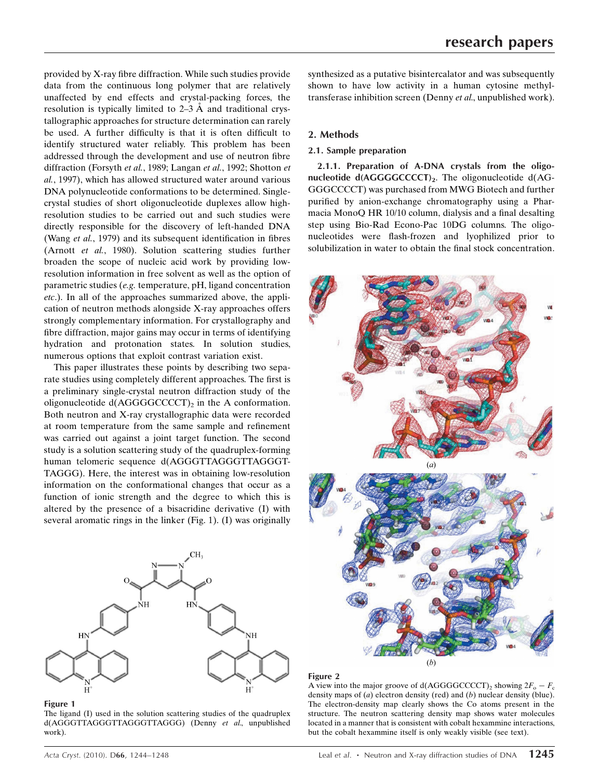provided by X-ray fibre diffraction. While such studies provide data from the continuous long polymer that are relatively unaffected by end effects and crystal-packing forces, the resolution is typically limited to  $2-3$  Å and traditional crystallographic approaches for structure determination can rarely be used. A further difficulty is that it is often difficult to identify structured water reliably. This problem has been addressed through the development and use of neutron fibre diffraction (Forsyth et al., 1989; Langan et al., 1992; Shotton et al., 1997), which has allowed structured water around various DNA polynucleotide conformations to be determined. Singlecrystal studies of short oligonucleotide duplexes allow highresolution studies to be carried out and such studies were directly responsible for the discovery of left-handed DNA (Wang *et al.*, 1979) and its subsequent identification in fibres (Arnott et al., 1980). Solution scattering studies further broaden the scope of nucleic acid work by providing lowresolution information in free solvent as well as the option of parametric studies (e.g. temperature, pH, ligand concentration etc.). In all of the approaches summarized above, the application of neutron methods alongside X-ray approaches offers strongly complementary information. For crystallography and fibre diffraction, major gains may occur in terms of identifying hydration and protonation states. In solution studies, numerous options that exploit contrast variation exist.

This paper illustrates these points by describing two separate studies using completely different approaches. The first is a preliminary single-crystal neutron diffraction study of the oligonucleotide  $d(AGGGGCCCCT)_2$  in the A conformation. Both neutron and X-ray crystallographic data were recorded at room temperature from the same sample and refinement was carried out against a joint target function. The second study is a solution scattering study of the quadruplex-forming human telomeric sequence d(AGGGTTAGGGTTAGGGT-TAGGG). Here, the interest was in obtaining low-resolution information on the conformational changes that occur as a function of ionic strength and the degree to which this is altered by the presence of a bisacridine derivative (I) with several aromatic rings in the linker (Fig. 1). (I) was originally



#### Figure 1

The ligand (I) used in the solution scattering studies of the quadruplex d(AGGGTTAGGGTTAGGGTTAGGG) (Denny et al., unpublished work).

synthesized as a putative bisintercalator and was subsequently shown to have low activity in a human cytosine methyltransferase inhibition screen (Denny et al., unpublished work).

## 2. Methods

## 2.1. Sample preparation

2.1.1. Preparation of A-DNA crystals from the oligonucleotide  $d(AGGGCCCCT)_2$ . The oligonucleotide  $d(AG-$ GGGCCCCT) was purchased from MWG Biotech and further purified by anion-exchange chromatography using a Pharmacia MonoQ HR 10/10 column, dialysis and a final desalting step using Bio-Rad Econo-Pac 10DG columns. The oligonucleotides were flash-frozen and lyophilized prior to solubilization in water to obtain the final stock concentration.



#### Figure 2

A view into the major groove of  $d(AGGGGCCCT)_2$  showing  $2F_0 - F_c$ density maps of  $(a)$  electron density (red) and  $(b)$  nuclear density (blue). The electron-density map clearly shows the Co atoms present in the structure. The neutron scattering density map shows water molecules located in a manner that is consistent with cobalt hexammine interactions, but the cobalt hexammine itself is only weakly visible (see text).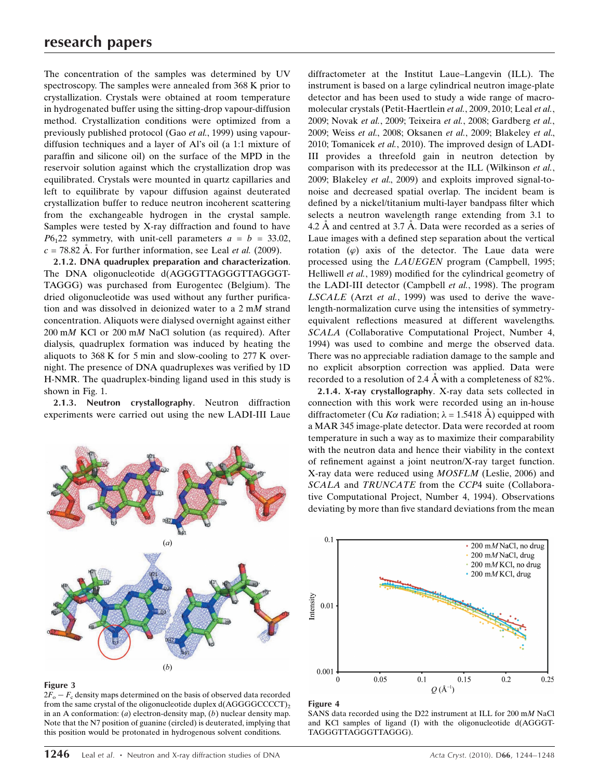The concentration of the samples was determined by UV spectroscopy. The samples were annealed from 368 K prior to crystallization. Crystals were obtained at room temperature in hydrogenated buffer using the sitting-drop vapour-diffusion method. Crystallization conditions were optimized from a previously published protocol (Gao et al., 1999) using vapourdiffusion techniques and a layer of Al's oil (a 1:1 mixture of paraffin and silicone oil) on the surface of the MPD in the reservoir solution against which the crystallization drop was equilibrated. Crystals were mounted in quartz capillaries and left to equilibrate by vapour diffusion against deuterated crystallization buffer to reduce neutron incoherent scattering from the exchangeable hydrogen in the crystal sample. Samples were tested by X-ray diffraction and found to have  $P6<sub>1</sub>22$  symmetry, with unit-cell parameters  $a = b = 33.02$ ,  $c = 78.82$  Å. For further information, see Leal *et al.* (2009).

2.1.2. DNA quadruplex preparation and characterization. The DNA oligonucleotide d(AGGGTTAGGGTTAGGGT-TAGGG) was purchased from Eurogentec (Belgium). The dried oligonucleotide was used without any further purification and was dissolved in deionized water to a 2 mM strand concentration. Aliquots were dialysed overnight against either 200 mM KCl or 200 mM NaCl solution (as required). After dialysis, quadruplex formation was induced by heating the aliquots to 368 K for 5 min and slow-cooling to 277 K overnight. The presence of DNA quadruplexes was verified by 1D H-NMR. The quadruplex-binding ligand used in this study is shown in Fig. 1.

2.1.3. Neutron crystallography. Neutron diffraction experiments were carried out using the new LADI-III Laue



#### Figure 3

 $2F_{o} - F_{c}$  density maps determined on the basis of observed data recorded from the same crystal of the oligonucleotide duplex  $d(AGGGGCCCCT)_{2}$ in an A conformation: (a) electron-density map, (b) nuclear density map. Note that the N7 position of guanine (circled) is deuterated, implying that this position would be protonated in hydrogenous solvent conditions.

diffractometer at the Institut Laue–Langevin (ILL). The instrument is based on a large cylindrical neutron image-plate detector and has been used to study a wide range of macromolecular crystals (Petit-Haertlein et al., 2009, 2010; Leal et al., 2009; Novak et al., 2009; Teixeira et al., 2008; Gardberg et al., 2009; Weiss et al., 2008; Oksanen et al., 2009; Blakeley et al., 2010; Tomanicek et al., 2010). The improved design of LADI-III provides a threefold gain in neutron detection by comparison with its predecessor at the ILL (Wilkinson et al., 2009; Blakeley et al., 2009) and exploits improved signal-tonoise and decreased spatial overlap. The incident beam is defined by a nickel/titanium multi-layer bandpass filter which selects a neutron wavelength range extending from 3.1 to 4.2  $\AA$  and centred at 3.7  $\AA$ . Data were recorded as a series of Laue images with a defined step separation about the vertical rotation  $(\varphi)$  axis of the detector. The Laue data were processed using the LAUEGEN program (Campbell, 1995; Helliwell et al., 1989) modified for the cylindrical geometry of the LADI-III detector (Campbell et al., 1998). The program LSCALE (Arzt et al., 1999) was used to derive the wavelength-normalization curve using the intensities of symmetryequivalent reflections measured at different wavelengths. SCALA (Collaborative Computational Project, Number 4, 1994) was used to combine and merge the observed data. There was no appreciable radiation damage to the sample and no explicit absorption correction was applied. Data were recorded to a resolution of 2.4 A with a completeness of 82%.

2.1.4. X-ray crystallography. X-ray data sets collected in connection with this work were recorded using an in-house diffractometer (Cu K $\alpha$  radiation;  $\lambda = 1.5418 \text{ Å}$ ) equipped with a MAR 345 image-plate detector. Data were recorded at room temperature in such a way as to maximize their comparability with the neutron data and hence their viability in the context of refinement against a joint neutron/X-ray target function. X-ray data were reduced using MOSFLM (Leslie, 2006) and SCALA and TRUNCATE from the CCP4 suite (Collaborative Computational Project, Number 4, 1994). Observations deviating by more than five standard deviations from the mean



#### Figure 4

SANS data recorded using the D22 instrument at ILL for 200 mM NaCl and KCl samples of ligand (I) with the oligonucleotide d(AGGGT-TAGGGTTAGGGTTAGGG).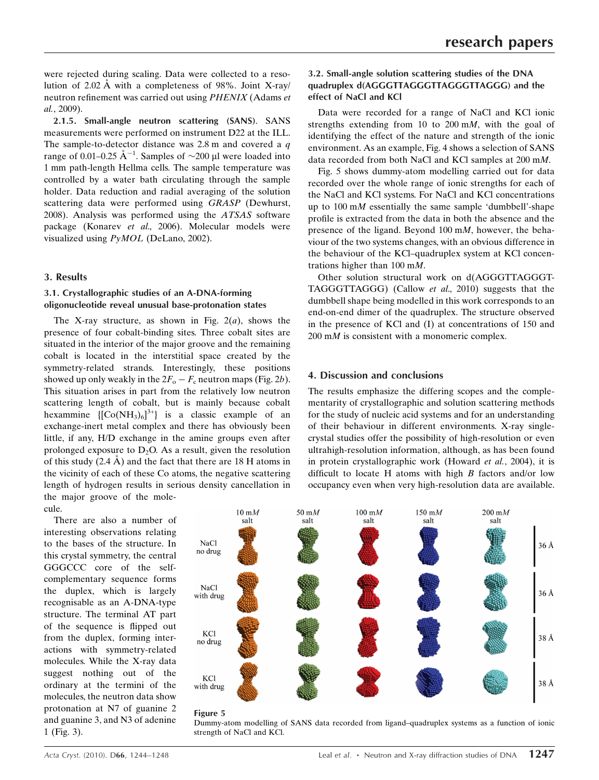were rejected during scaling. Data were collected to a resolution of  $2.02 \text{ Å}$  with a completeness of 98%. Joint X-ray/ neutron refinement was carried out using PHENIX (Adams et al., 2009).

2.1.5. Small-angle neutron scattering (SANS). SANS measurements were performed on instrument D22 at the ILL. The sample-to-detector distance was  $2.8$  m and covered a  $q$ range of 0.01–0.25  $\AA^{-1}$ . Samples of  $\sim$ 200 µl were loaded into 1 mm path-length Hellma cells. The sample temperature was controlled by a water bath circulating through the sample holder. Data reduction and radial averaging of the solution scattering data were performed using GRASP (Dewhurst, 2008). Analysis was performed using the ATSAS software package (Konarev et al., 2006). Molecular models were visualized using PyMOL (DeLano, 2002).

## 3. Results

## 3.1. Crystallographic studies of an A-DNA-forming oligonucleotide reveal unusual base-protonation states

The X-ray structure, as shown in Fig.  $2(a)$ , shows the presence of four cobalt-binding sites. Three cobalt sites are situated in the interior of the major groove and the remaining cobalt is located in the interstitial space created by the symmetry-related strands. Interestingly, these positions showed up only weakly in the  $2F_o - F_c$  neutron maps (Fig. 2b). This situation arises in part from the relatively low neutron scattering length of cobalt, but is mainly because cobalt hexammine  $\text{[Co(NH<sub>3</sub>)<sub>6</sub>]}^{3+}$  is a classic example of an exchange-inert metal complex and there has obviously been little, if any, H/D exchange in the amine groups even after prolonged exposure to  $D_2O$ . As a result, given the resolution of this study  $(2.4 \text{ A})$  and the fact that there are 18 H atoms in the vicinity of each of these Co atoms, the negative scattering length of hydrogen results in serious density cancellation in the major groove of the molecule.

There are also a number of interesting observations relating to the bases of the structure. In this crystal symmetry, the central GGGCCC core of the selfcomplementary sequence forms the duplex, which is largely recognisable as an A-DNA-type structure. The terminal AT part of the sequence is flipped out from the duplex, forming interactions with symmetry-related molecules. While the X-ray data suggest nothing out of the ordinary at the termini of the molecules, the neutron data show protonation at N7 of guanine 2 and guanine 3, and N3 of adenine 1 (Fig. 3).

## 3.2. Small-angle solution scattering studies of the DNA quadruplex d(AGGGTTAGGGTTAGGGTTAGGG) and the effect of NaCl and KCl

Data were recorded for a range of NaCl and KCl ionic strengths extending from 10 to 200 mM, with the goal of identifying the effect of the nature and strength of the ionic environment. As an example, Fig. 4 shows a selection of SANS data recorded from both NaCl and KCl samples at 200 mM.

Fig. 5 shows dummy-atom modelling carried out for data recorded over the whole range of ionic strengths for each of the NaCl and KCl systems. For NaCl and KCl concentrations up to  $100 \text{ m}$  essentially the same sample 'dumbbell'-shape profile is extracted from the data in both the absence and the presence of the ligand. Beyond 100 mM, however, the behaviour of the two systems changes, with an obvious difference in the behaviour of the KCl–quadruplex system at KCl concentrations higher than 100 mM.

Other solution structural work on d(AGGGTTAGGGT-TAGGGTTAGGG) (Callow et al., 2010) suggests that the dumbbell shape being modelled in this work corresponds to an end-on-end dimer of the quadruplex. The structure observed in the presence of KCl and (I) at concentrations of 150 and 200 mM is consistent with a monomeric complex.

## 4. Discussion and conclusions

The results emphasize the differing scopes and the complementarity of crystallographic and solution scattering methods for the study of nucleic acid systems and for an understanding of their behaviour in different environments. X-ray singlecrystal studies offer the possibility of high-resolution or even ultrahigh-resolution information, although, as has been found in protein crystallographic work (Howard et al., 2004), it is difficult to locate H atoms with high  $B$  factors and/or low occupancy even when very high-resolution data are available.



#### Figure 5

Dummy-atom modelling of SANS data recorded from ligand–quadruplex systems as a function of ionic strength of NaCl and KCl.